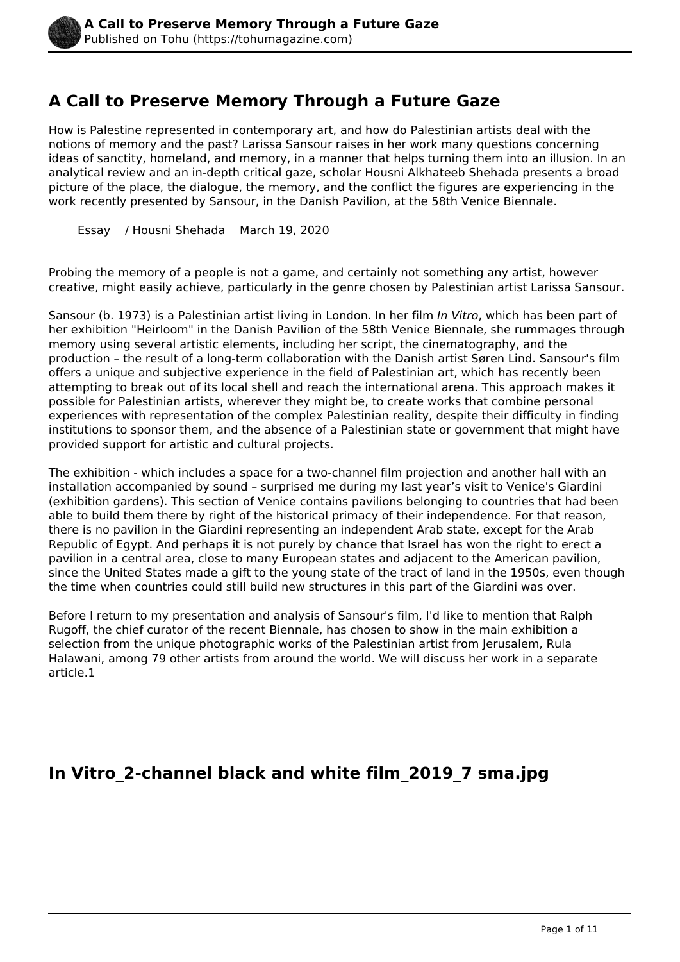# **A Call to Preserve Memory Through a Future Gaze**

How is Palestine represented in contemporary art, and how do Palestinian artists deal with the notions of memory and the past? Larissa Sansour raises in her work many questions concerning ideas of sanctity, homeland, and memory, in a manner that helps turning them into an illusion. In an analytical review and an in-depth critical gaze, scholar Housni Alkhateeb Shehada presents a broad picture of the place, the dialogue, the memory, and the conflict the figures are experiencing in the work recently presented by Sansour, in the Danish Pavilion, at the 58th Venice Biennale.

Essay / Housni Shehada March 19, 2020

Probing the memory of a people is not a game, and certainly not something any artist, however creative, might easily achieve, particularly in the genre chosen by Palestinian artist Larissa Sansour.

Sansour (b. 1973) is a Palestinian artist living in London. In her film *In Vitro*, which has been part of her exhibition "Heirloom" in the Danish Pavilion of the 58th Venice Biennale, she rummages through memory using several artistic elements, including her script, the cinematography, and the production – the result of a long-term collaboration with the Danish artist Søren Lind. Sansour's film offers a unique and subjective experience in the field of Palestinian art, which has recently been attempting to break out of its local shell and reach the international arena. This approach makes it possible for Palestinian artists, wherever they might be, to create works that combine personal experiences with representation of the complex Palestinian reality, despite their difficulty in finding institutions to sponsor them, and the absence of a Palestinian state or government that might have provided support for artistic and cultural projects.

The exhibition - which includes a space for a two-channel film projection and another hall with an installation accompanied by sound – surprised me during my last year's visit to Venice's Giardini (exhibition gardens). This section of Venice contains pavilions belonging to countries that had been able to build them there by right of the historical primacy of their independence. For that reason, there is no pavilion in the Giardini representing an independent Arab state, except for the Arab Republic of Egypt. And perhaps it is not purely by chance that Israel has won the right to erect a pavilion in a central area, close to many European states and adjacent to the American pavilion, since the United States made a gift to the young state of the tract of land in the 1950s, even though the time when countries could still build new structures in this part of the Giardini was over.

Before I return to my presentation and analysis of Sansour's film, I'd like to mention that Ralph Rugoff, the chief curator of the recent Biennale, has chosen to show in the main exhibition a selection from the unique photographic works of the Palestinian artist from Jerusalem, Rula Halawani, among 79 other artists from around the world. We will discuss her work in a separate article.1

## **In Vitro\_2-channel black and white film\_2019\_7 sma.jpg**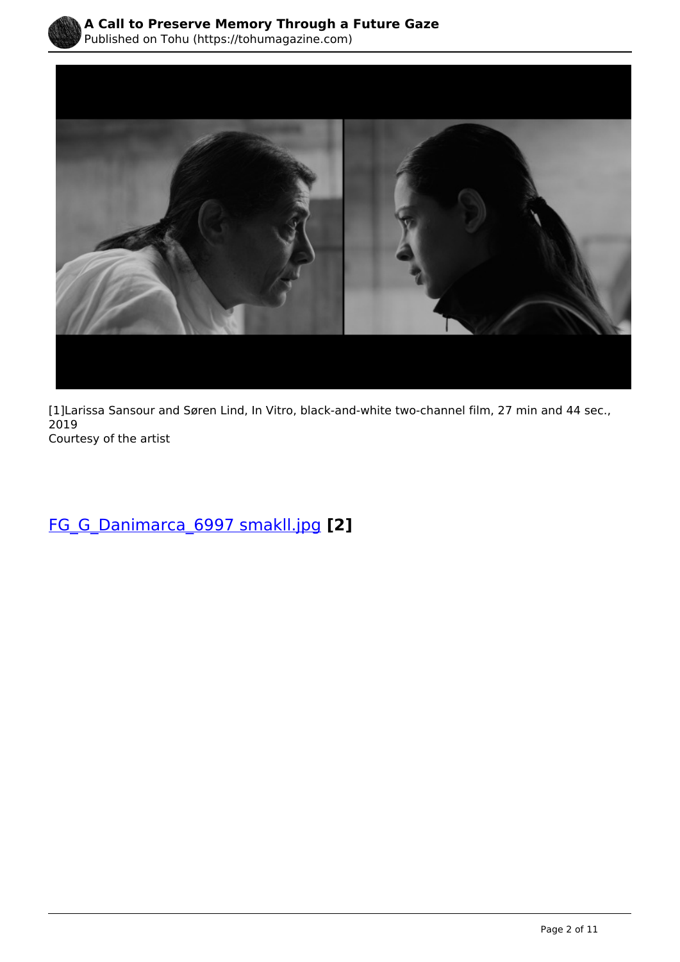



[1]Larissa Sansour and Søren Lind, In Vitro, black-and-white two-channel film, 27 min and 44 sec., 2019 Courtesy of the artist

[FG\\_G\\_Danimarca\\_6997 smakll.jpg](https://tohumagazine.com/file/fggdanimarca6997-smaklljpg) **[2]**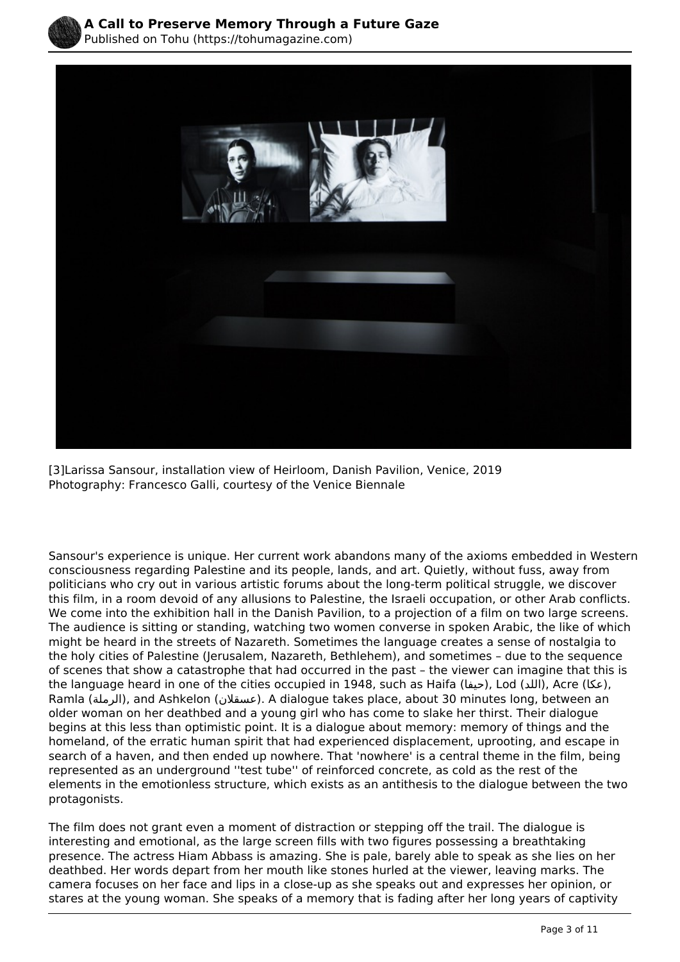



[3]Larissa Sansour, installation view of Heirloom, Danish Pavilion, Venice, 2019 Photography: Francesco Galli, courtesy of the Venice Biennale

 The audience is sitting or standing, watching two women converse in spoken Arabic, the like of which Sansour's experience is unique. Her current work abandons many of the axioms embedded in Western consciousness regarding Palestine and its people, lands, and art. Quietly, without fuss, away from politicians who cry out in various artistic forums about the long-term political struggle, we discover this film, in a room devoid of any allusions to Palestine, the Israeli occupation, or other Arab conflicts. We come into the exhibition hall in the Danish Pavilion, to a projection of a film on two large screens. might be heard in the streets of Nazareth. Sometimes the language creates a sense of nostalgia to the holy cities of Palestine (Jerusalem, Nazareth, Bethlehem), and sometimes – due to the sequence of scenes that show a catastrophe that had occurred in the past – the viewer can imagine that this is the language heard in one of the cities occupied in 1948, such as Haifa (حيفا), Lod (اللد), Acre ((عكا), Ramla (الرملة(, and Ashkelon (عسقلان(. A dialogue takes place, about 30 minutes long, between an older woman on her deathbed and a young girl who has come to slake her thirst. Their dialogue begins at this less than optimistic point. It is a dialogue about memory: memory of things and the homeland, of the erratic human spirit that had experienced displacement, uprooting, and escape in search of a haven, and then ended up nowhere. That 'nowhere' is a central theme in the film, being represented as an underground ''test tube'' of reinforced concrete, as cold as the rest of the elements in the emotionless structure, which exists as an antithesis to the dialogue between the two protagonists.

The film does not grant even a moment of distraction or stepping off the trail. The dialogue is interesting and emotional, as the large screen fills with two figures possessing a breathtaking presence. The actress Hiam Abbass is amazing. She is pale, barely able to speak as she lies on her deathbed. Her words depart from her mouth like stones hurled at the viewer, leaving marks. The camera focuses on her face and lips in a close-up as she speaks out and expresses her opinion, or stares at the young woman. She speaks of a memory that is fading after her long years of captivity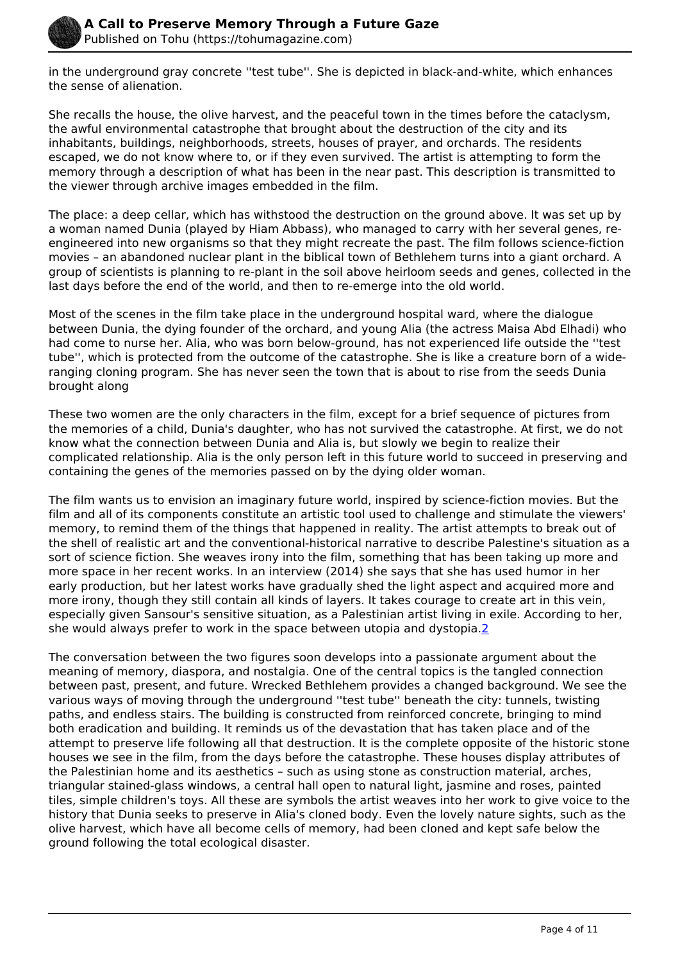

in the underground gray concrete ''test tube''. She is depicted in black-and-white, which enhances the sense of alienation.

She recalls the house, the olive harvest, and the peaceful town in the times before the cataclysm, the awful environmental catastrophe that brought about the destruction of the city and its inhabitants, buildings, neighborhoods, streets, houses of prayer, and orchards. The residents escaped, we do not know where to, or if they even survived. The artist is attempting to form the memory through a description of what has been in the near past. This description is transmitted to the viewer through archive images embedded in the film.

The place: a deep cellar, which has withstood the destruction on the ground above. It was set up by a woman named Dunia (played by Hiam Abbass), who managed to carry with her several genes, reengineered into new organisms so that they might recreate the past. The film follows science-fiction movies – an abandoned nuclear plant in the biblical town of Bethlehem turns into a giant orchard. A group of scientists is planning to re-plant in the soil above heirloom seeds and genes, collected in the last days before the end of the world, and then to re-emerge into the old world.

Most of the scenes in the film take place in the underground hospital ward, where the dialogue between Dunia, the dying founder of the orchard, and young Alia (the actress Maisa Abd Elhadi) who had come to nurse her. Alia, who was born below-ground, has not experienced life outside the ''test tube'', which is protected from the outcome of the catastrophe. She is like a creature born of a wideranging cloning program. She has never seen the town that is about to rise from the seeds Dunia brought along

These two women are the only characters in the film, except for a brief sequence of pictures from the memories of a child, Dunia's daughter, who has not survived the catastrophe. At first, we do not know what the connection between Dunia and Alia is, but slowly we begin to realize their complicated relationship. Alia is the only person left in this future world to succeed in preserving and containing the genes of the memories passed on by the dying older woman.

The film wants us to envision an imaginary future world, inspired by science-fiction movies. But the film and all of its components constitute an artistic tool used to challenge and stimulate the viewers' memory, to remind them of the things that happened in reality. The artist attempts to break out of the shell of realistic art and the conventional-historical narrative to describe Palestine's situation as a sort of science fiction. She weaves irony into the film, something that has been taking up more and more space in her recent works. In an interview (2014) she says that she has used humor in her early production, but her latest works have gradually shed the light aspect and acquired more and more irony, though they still contain all kinds of layers. It takes courage to create art in this vein, especially given Sansour's sensitive situation, as a Palestinian artist living in exile. According to her, she would always prefer to work in the space between utopia and dystopia.2

The conversation between the two figures soon develops into a passionate argument about the meaning of memory, diaspora, and nostalgia. One of the central topics is the tangled connection between past, present, and future. Wrecked Bethlehem provides a changed background. We see the various ways of moving through the underground ''test tube'' beneath the city: tunnels, twisting paths, and endless stairs. The building is constructed from reinforced concrete, bringing to mind both eradication and building. It reminds us of the devastation that has taken place and of the attempt to preserve life following all that destruction. It is the complete opposite of the historic stone houses we see in the film, from the days before the catastrophe. These houses display attributes of the Palestinian home and its aesthetics – such as using stone as construction material, arches, triangular stained-glass windows, a central hall open to natural light, jasmine and roses, painted tiles, simple children's toys. All these are symbols the artist weaves into her work to give voice to the history that Dunia seeks to preserve in Alia's cloned body. Even the lovely nature sights, such as the olive harvest, which have all become cells of memory, had been cloned and kept safe below the ground following the total ecological disaster.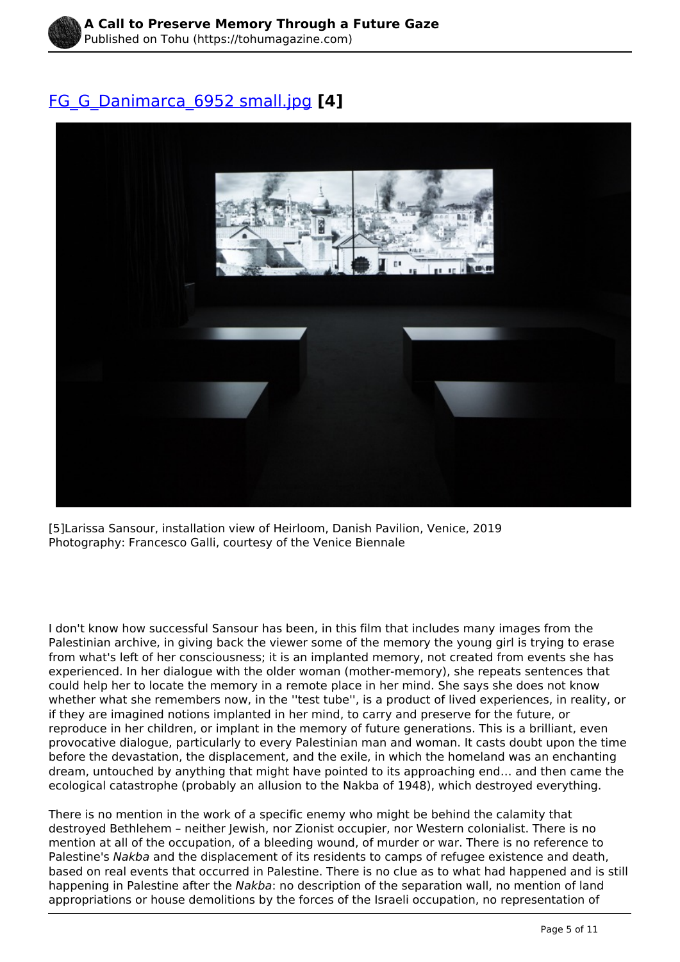

## [FG\\_G\\_Danimarca\\_6952 small.jpg](https://tohumagazine.com/file/fggdanimarca6952-smalljpg) **[4]**



[5]Larissa Sansour, installation view of Heirloom, Danish Pavilion, Venice, 2019 Photography: Francesco Galli, courtesy of the Venice Biennale

 whether what she remembers now, in the ''test tube'', is a product of lived experiences, in reality, or I don't know how successful Sansour has been, in this film that includes many images from the Palestinian archive, in giving back the viewer some of the memory the young girl is trying to erase from what's left of her consciousness; it is an implanted memory, not created from events she has experienced. In her dialogue with the older woman (mother-memory), she repeats sentences that could help her to locate the memory in a remote place in her mind. She says she does not know if they are imagined notions implanted in her mind, to carry and preserve for the future, or reproduce in her children, or implant in the memory of future generations. This is a brilliant, even provocative dialogue, particularly to every Palestinian man and woman. It casts doubt upon the time before the devastation, the displacement, and the exile, in which the homeland was an enchanting dream, untouched by anything that might have pointed to its approaching end… and then came the ecological catastrophe (probably an allusion to the Nakba of 1948), which destroyed everything.

There is no mention in the work of a specific enemy who might be behind the calamity that destroyed Bethlehem – neither Jewish, nor Zionist occupier, nor Western colonialist. There is no mention at all of the occupation, of a bleeding wound, of murder or war. There is no reference to Palestine's *Nakba* and the displacement of its residents to camps of refugee existence and death, based on real events that occurred in Palestine. There is no clue as to what had happened and is still happening in Palestine after the *Nakba*: no description of the separation wall, no mention of land appropriations or house demolitions by the forces of the Israeli occupation, no representation of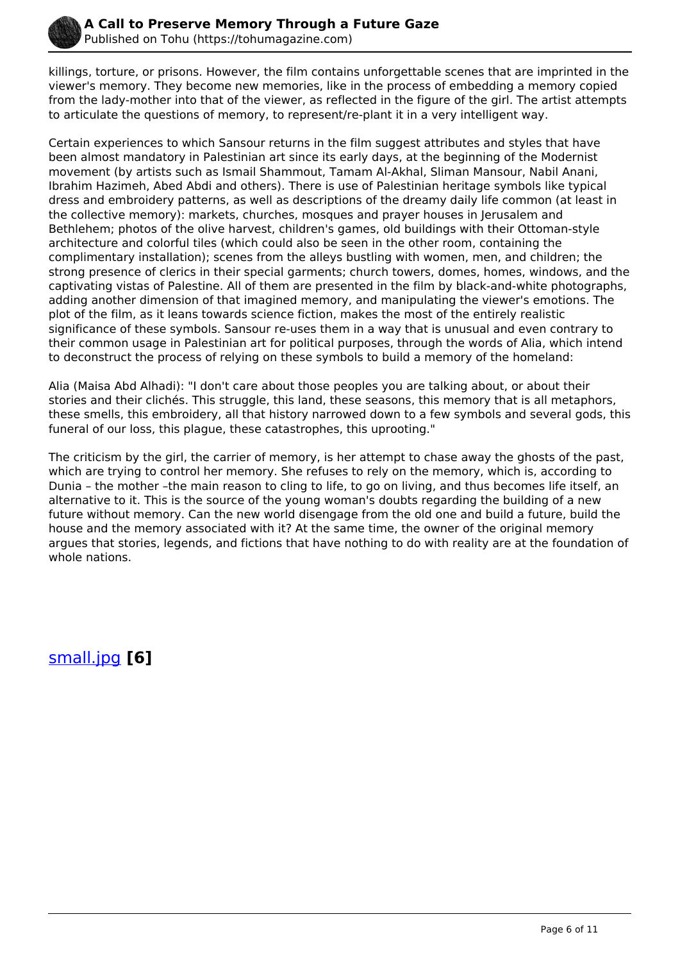

killings, torture, or prisons. However, the film contains unforgettable scenes that are imprinted in the viewer's memory. They become new memories, like in the process of embedding a memory copied from the lady-mother into that of the viewer, as reflected in the figure of the girl. The artist attempts to articulate the questions of memory, to represent/re-plant it in a very intelligent way.

Certain experiences to which Sansour returns in the film suggest attributes and styles that have been almost mandatory in Palestinian art since its early days, at the beginning of the Modernist movement (by artists such as Ismail Shammout, Tamam Al-Akhal, Sliman Mansour, Nabil Anani, Ibrahim Hazimeh, Abed Abdi and others). There is use of Palestinian heritage symbols like typical dress and embroidery patterns, as well as descriptions of the dreamy daily life common (at least in the collective memory): markets, churches, mosques and prayer houses in Jerusalem and Bethlehem; photos of the olive harvest, children's games, old buildings with their Ottoman-style architecture and colorful tiles (which could also be seen in the other room, containing the complimentary installation); scenes from the alleys bustling with women, men, and children; the strong presence of clerics in their special garments; church towers, domes, homes, windows, and the captivating vistas of Palestine. All of them are presented in the film by black-and-white photographs, adding another dimension of that imagined memory, and manipulating the viewer's emotions. The plot of the film, as it leans towards science fiction, makes the most of the entirely realistic significance of these symbols. Sansour re-uses them in a way that is unusual and even contrary to their common usage in Palestinian art for political purposes, through the words of Alia, which intend to deconstruct the process of relying on these symbols to build a memory of the homeland:

Alia (Maisa Abd Alhadi): "I don't care about those peoples you are talking about, or about their stories and their clichés. This struggle, this land, these seasons, this memory that is all metaphors, these smells, this embroidery, all that history narrowed down to a few symbols and several gods, this funeral of our loss, this plague, these catastrophes, this uprooting."

The criticism by the girl, the carrier of memory, is her attempt to chase away the ghosts of the past, which are trying to control her memory. She refuses to rely on the memory, which is, according to Dunia – the mother –the main reason to cling to life, to go on living, and thus becomes life itself, an alternative to it. This is the source of the young woman's doubts regarding the building of a new future without memory. Can the new world disengage from the old one and build a future, build the house and the memory associated with it? At the same time, the owner of the original memory argues that stories, legends, and fictions that have nothing to do with reality are at the foundation of whole nations.

[small.jpg](https://tohumagazine.com/file/smalljpg) **[6]**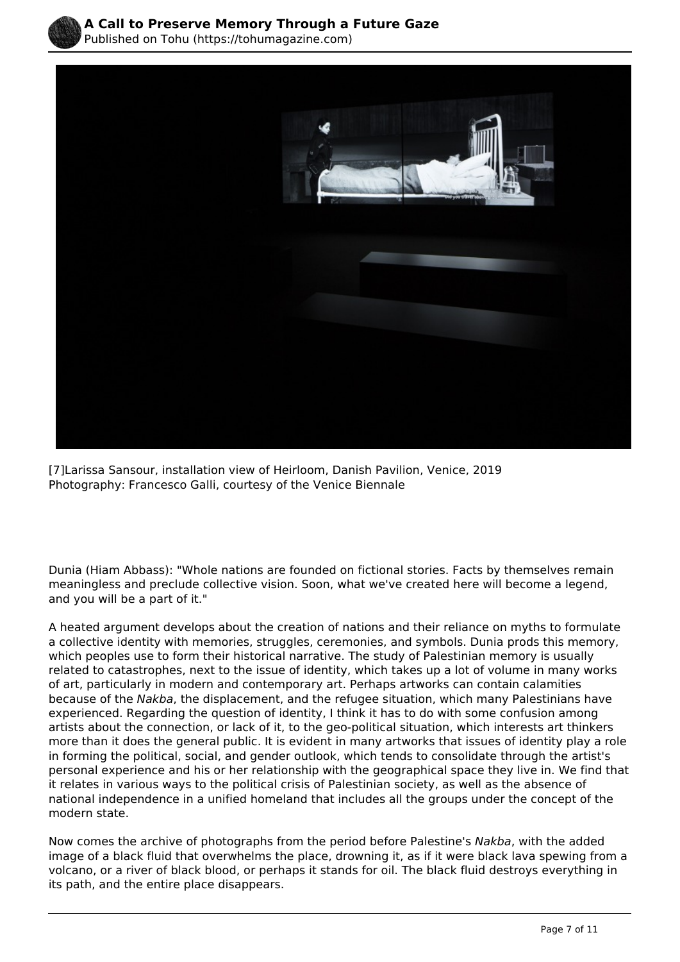



[7]Larissa Sansour, installation view of Heirloom, Danish Pavilion, Venice, 2019 Photography: Francesco Galli, courtesy of the Venice Biennale

Dunia (Hiam Abbass): "Whole nations are founded on fictional stories. Facts by themselves remain meaningless and preclude collective vision. Soon, what we've created here will become a legend, and you will be a part of it."

 A heated argument develops about the creation of nations and their reliance on myths to formulate a collective identity with memories, struggles, ceremonies, and symbols. Dunia prods this memory, which peoples use to form their historical narrative. The study of Palestinian memory is usually related to catastrophes, next to the issue of identity, which takes up a lot of volume in many works of art, particularly in modern and contemporary art. Perhaps artworks can contain calamities because of the *Nakba*, the displacement, and the refugee situation, which many Palestinians have experienced. Regarding the question of identity, I think it has to do with some confusion among artists about the connection, or lack of it, to the geo-political situation, which interests art thinkers more than it does the general public. It is evident in many artworks that issues of identity play a role in forming the political, social, and gender outlook, which tends to consolidate through the artist's personal experience and his or her relationship with the geographical space they live in. We find that it relates in various ways to the political crisis of Palestinian society, as well as the absence of national independence in a unified homeland that includes all the groups under the concept of the modern state.

Now comes the archive of photographs from the period before Palestine's *Nakba*, with the added image of a black fluid that overwhelms the place, drowning it, as if it were black lava spewing from a volcano, or a river of black blood, or perhaps it stands for oil. The black fluid destroys everything in its path, and the entire place disappears.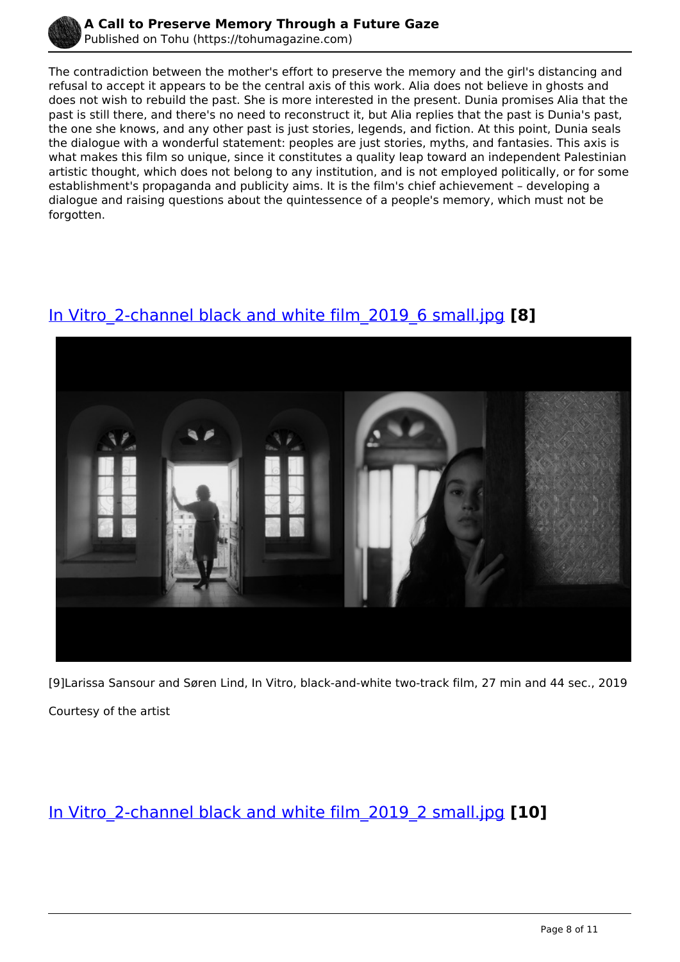

The contradiction between the mother's effort to preserve the memory and the girl's distancing and refusal to accept it appears to be the central axis of this work. Alia does not believe in ghosts and does not wish to rebuild the past. She is more interested in the present. Dunia promises Alia that the past is still there, and there's no need to reconstruct it, but Alia replies that the past is Dunia's past, the one she knows, and any other past is just stories, legends, and fiction. At this point, Dunia seals the dialogue with a wonderful statement: peoples are just stories, myths, and fantasies. This axis is what makes this film so unique, since it constitutes a quality leap toward an independent Palestinian artistic thought, which does not belong to any institution, and is not employed politically, or for some establishment's propaganda and publicity aims. It is the film's chief achievement – developing a dialogue and raising questions about the quintessence of a people's memory, which must not be forgotten.

## [In Vitro\\_2-channel black and white film\\_2019\\_6 small.jpg](https://tohumagazine.com/file/vitro2-channel-black-and-white-film20196-smalljpg) **[8]**



[9]Larissa Sansour and Søren Lind, In Vitro, black-and-white two-track film, 27 min and 44 sec., 2019 Courtesy of the artist

[In Vitro\\_2-channel black and white film\\_2019\\_2 small.jpg](https://tohumagazine.com/file/vitro2-channel-black-and-white-film20192-smalljpg) **[10]**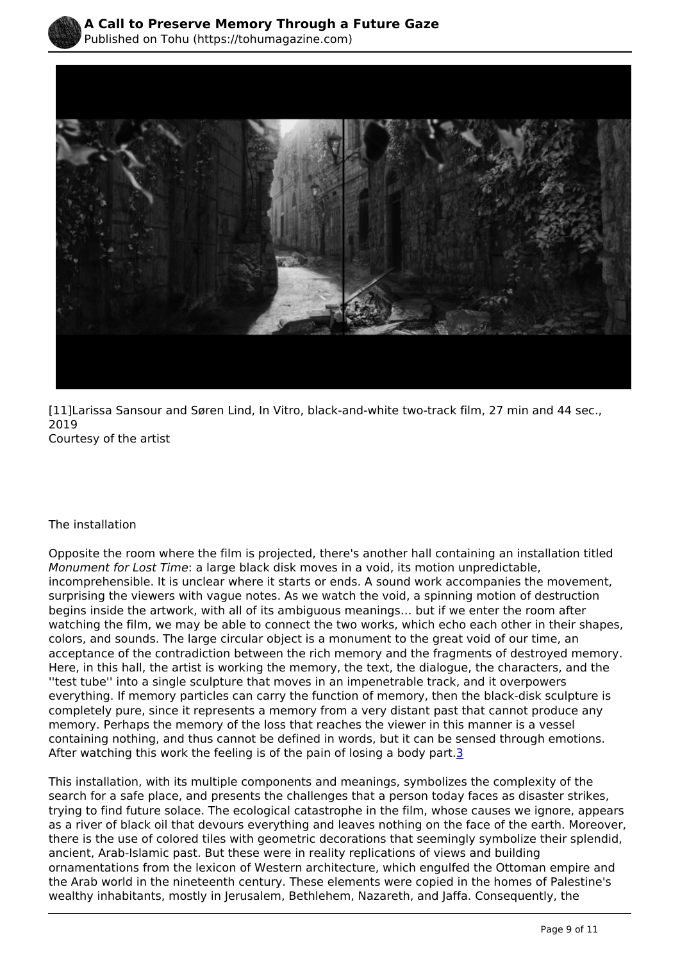

[11]Larissa Sansour and Søren Lind, In Vitro, black-and-white two-track film, 27 min and 44 sec., 2019 Courtesy of the artist

#### The installation

Opposite the room where the film is projected, there's another hall containing an installation titled *Monument for Lost Time*: a large black disk moves in a void, its motion unpredictable, incomprehensible. It is unclear where it starts or ends. A sound work accompanies the movement, surprising the viewers with vague notes. As we watch the void, a spinning motion of destruction begins inside the artwork, with all of its ambiguous meanings… but if we enter the room after watching the film, we may be able to connect the two works, which echo each other in their shapes, colors, and sounds. The large circular object is a monument to the great void of our time, an acceptance of the contradiction between the rich memory and the fragments of destroyed memory. Here, in this hall, the artist is working the memory, the text, the dialogue, the characters, and the ''test tube'' into a single sculpture that moves in an impenetrable track, and it overpowers everything. If memory particles can carry the function of memory, then the black-disk sculpture is completely pure, since it represents a memory from a very distant past that cannot produce any memory. Perhaps the memory of the loss that reaches the viewer in this manner is a vessel containing nothing, and thus cannot be defined in words, but it can be sensed through emotions. After watching this work the feeling is of the pain of losing a body part.<sup>3</sup>

This installation, with its multiple components and meanings, symbolizes the complexity of the search for a safe place, and presents the challenges that a person today faces as disaster strikes, trying to find future solace. The ecological catastrophe in the film, whose causes we ignore, appears as a river of black oil that devours everything and leaves nothing on the face of the earth. Moreover, there is the use of colored tiles with geometric decorations that seemingly symbolize their splendid, ancient, Arab-Islamic past. But these were in reality replications of views and building ornamentations from the lexicon of Western architecture, which engulfed the Ottoman empire and the Arab world in the nineteenth century. These elements were copied in the homes of Palestine's wealthy inhabitants, mostly in Jerusalem, Bethlehem, Nazareth, and Jaffa. Consequently, the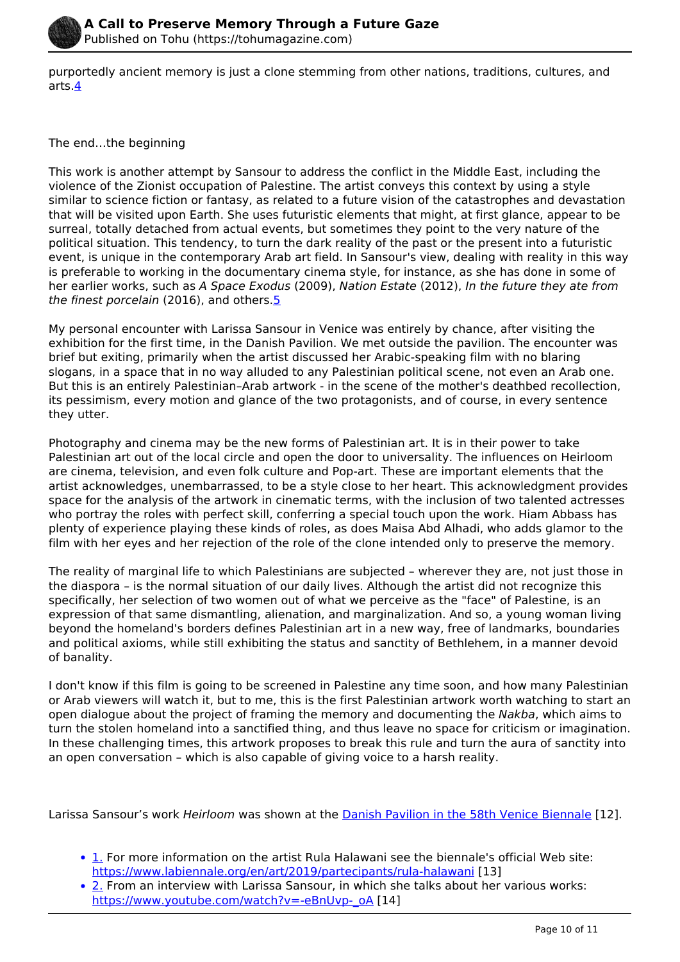

purportedly ancient memory is just a clone stemming from other nations, traditions, cultures, and arts.4

### The end…the beginning

This work is another attempt by Sansour to address the conflict in the Middle East, including the violence of the Zionist occupation of Palestine. The artist conveys this context by using a style similar to science fiction or fantasy, as related to a future vision of the catastrophes and devastation that will be visited upon Earth. She uses futuristic elements that might, at first glance, appear to be surreal, totally detached from actual events, but sometimes they point to the very nature of the political situation. This tendency, to turn the dark reality of the past or the present into a futuristic event, is unique in the contemporary Arab art field. In Sansour's view, dealing with reality in this way is preferable to working in the documentary cinema style, for instance, as she has done in some of her earlier works, such as *A Space Exodus* (2009), *Nation Estate* (2012), *In the future they ate from the finest porcelain* (2016), and others.5

My personal encounter with Larissa Sansour in Venice was entirely by chance, after visiting the exhibition for the first time, in the Danish Pavilion. We met outside the pavilion. The encounter was brief but exiting, primarily when the artist discussed her Arabic-speaking film with no blaring slogans, in a space that in no way alluded to any Palestinian political scene, not even an Arab one. But this is an entirely Palestinian–Arab artwork - in the scene of the mother's deathbed recollection, its pessimism, every motion and glance of the two protagonists, and of course, in every sentence they utter.

Photography and cinema may be the new forms of Palestinian art. It is in their power to take Palestinian art out of the local circle and open the door to universality. The influences on Heirloom are cinema, television, and even folk culture and Pop-art. These are important elements that the artist acknowledges, unembarrassed, to be a style close to her heart. This acknowledgment provides space for the analysis of the artwork in cinematic terms, with the inclusion of two talented actresses who portray the roles with perfect skill, conferring a special touch upon the work. Hiam Abbass has plenty of experience playing these kinds of roles, as does Maisa Abd Alhadi, who adds glamor to the film with her eyes and her rejection of the role of the clone intended only to preserve the memory.

The reality of marginal life to which Palestinians are subjected – wherever they are, not just those in the diaspora – is the normal situation of our daily lives. Although the artist did not recognize this specifically, her selection of two women out of what we perceive as the "face" of Palestine, is an expression of that same dismantling, alienation, and marginalization. And so, a young woman living beyond the homeland's borders defines Palestinian art in a new way, free of landmarks, boundaries and political axioms, while still exhibiting the status and sanctity of Bethlehem, in a manner devoid of banality.

I don't know if this film is going to be screened in Palestine any time soon, and how many Palestinian or Arab viewers will watch it, but to me, this is the first Palestinian artwork worth watching to start an open dialogue about the project of framing the memory and documenting the *Nakba*, which aims to turn the stolen homeland into a sanctified thing, and thus leave no space for criticism or imagination. In these challenging times, this artwork proposes to break this rule and turn the aura of sanctity into an open conversation – which is also capable of giving voice to a harsh reality.

Larissa Sansour's work *Heirloom* was shown at the [Danish Pavilion in the 58th Venice Biennale](https://www.labiennale.org/en/art/2019/national-participations/denmark) [12].

- 1. For more information on the artist Rula Halawani see the biennale's official Web site: <https://www.labiennale.org/en/art/2019/partecipants/rula-halawani> [13]
- 2. From an interview with Larissa Sansour, in which she talks about her various works: [https://www.youtube.com/watch?v=-eBnUvp-\\_oA](https://www.youtube.com/watch?v=-eBnUvp-_oA) [14]